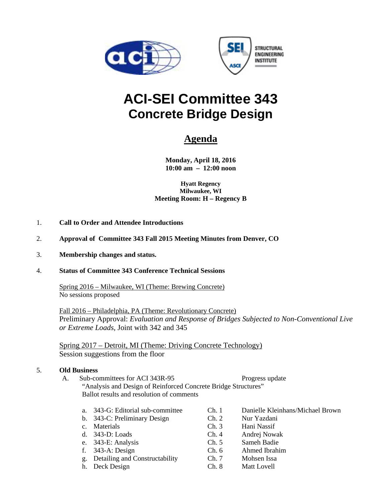



# **ACI-SEI Committee 343 Concrete Bridge Design**

## **Agenda**

**Monday, April 18, 2016 10:00 am – 12:00 noon** 

**Hyatt Regency Milwaukee, WI Meeting Room: H – Regency B** 

- 1. **Call to Order and Attendee Introductions**
- 2. **Approval of Committee 343 Fall 2015 Meeting Minutes from Denver, CO**
- 3. **Membership changes and status.**

#### 4. **Status of Committee 343 Conference Technical Sessions**

 Spring 2016 – Milwaukee, WI (Theme: Brewing Concrete) No sessions proposed

Fall 2016 – Philadelphia, PA (Theme: Revolutionary Concrete) Preliminary Approval: *Evaluation and Response of Bridges Subjected to Non-Conventional Live or Extreme Loads,* Joint with 342 and 345

Spring 2017 – Detroit, MI (Theme: Driving Concrete Technology) Session suggestions from the floor

#### 5. **Old Business**

A. Sub-committees for ACI 343R-95 Progress update "Analysis and Design of Reinforced Concrete Bridge Structures" Ballot results and resolution of comments

- a. 343-G: Editorial sub-committee Ch. 1 Danielle Kleinhans/Michael Brown b. 343-C: Preliminary Design Ch. 2 Nur Yazdani
- 
- 
- 
- 
- g. Detailing and Constructability Ch. 7 Mohsen Issa
- 
- c. Materials Ch. 3 Hani Nassif d. 343-D: Loads Ch. 4 Andrej Nowak e. 343-E: Analysis Ch. 5 Sameh Badie f. 343-A: Design Ch. 6 Ahmed Ibrahim
	-
- h. Deck Design Ch. 8 Matt Lovell